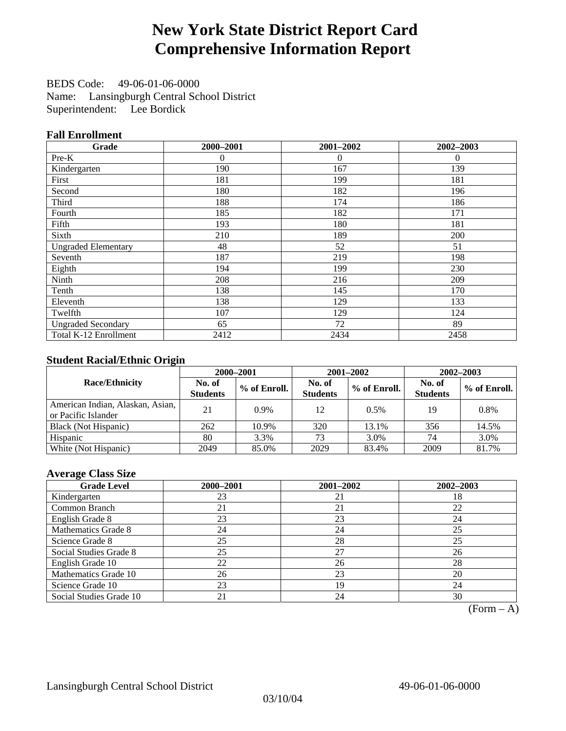# **New York State District Report Card Comprehensive Information Report**

BEDS Code: 49-06-01-06-0000 Name: Lansingburgh Central School District Superintendent: Lee Bordick

### **Fall Enrollment**

| Grade                      | 2000-2001 | 2001-2002 | 2002-2003 |
|----------------------------|-----------|-----------|-----------|
| Pre-K                      | $\theta$  | $\theta$  | $\theta$  |
| Kindergarten               | 190       | 167       | 139       |
| First                      | 181       | 199       | 181       |
| Second                     | 180       | 182       | 196       |
| Third                      | 188       | 174       | 186       |
| Fourth                     | 185       | 182       | 171       |
| Fifth                      | 193       | 180       | 181       |
| Sixth                      | 210       | 189       | 200       |
| <b>Ungraded Elementary</b> | 48        | 52        | 51        |
| Seventh                    | 187       | 219       | 198       |
| Eighth                     | 194       | 199       | 230       |
| Ninth                      | 208       | 216       | 209       |
| Tenth                      | 138       | 145       | 170       |
| Eleventh                   | 138       | 129       | 133       |
| Twelfth                    | 107       | 129       | 124       |
| <b>Ungraded Secondary</b>  | 65        | 72        | 89        |
| Total K-12 Enrollment      | 2412      | 2434      | 2458      |

### **Student Racial/Ethnic Origin**

|                                                         |                           | 2000-2001<br>2001-2002<br>2002-2003 |                           |              |                           |                |
|---------------------------------------------------------|---------------------------|-------------------------------------|---------------------------|--------------|---------------------------|----------------|
| <b>Race/Ethnicity</b>                                   | No. of<br><b>Students</b> | % of Enroll.                        | No. of<br><b>Students</b> | % of Enroll. | No. of<br><b>Students</b> | $%$ of Enroll. |
| American Indian, Alaskan, Asian,<br>or Pacific Islander | 21                        | $0.9\%$                             | 12                        | $0.5\%$      | 19                        | 0.8%           |
| Black (Not Hispanic)                                    | 262                       | 10.9%                               | 320                       | 13.1%        | 356                       | 14.5%          |
| Hispanic                                                | 80                        | 3.3%                                | 73                        | 3.0%         | 74                        | 3.0%           |
| White (Not Hispanic)                                    | 2049                      | 85.0%                               | 2029                      | 83.4%        | 2009                      | 81.7%          |

### **Average Class Size**

| <b>Grade Level</b>      | 2000-2001 | 2001-2002 | $2002 - 2003$ |
|-------------------------|-----------|-----------|---------------|
| Kindergarten            | 23        | 21        | 18            |
| Common Branch           | 21        | 21        | 22            |
| English Grade 8         | 23        | 23        | 24            |
| Mathematics Grade 8     | 24        | 24        | 25            |
| Science Grade 8         | 25        | 28        | 25            |
| Social Studies Grade 8  | 25        | 27        | 26            |
| English Grade 10        | 22        | 26        | 28            |
| Mathematics Grade 10    | 26        | 23        | 20            |
| Science Grade 10        | 23        | 19        | 24            |
| Social Studies Grade 10 |           | 24        | 30            |

 $(Form - A)$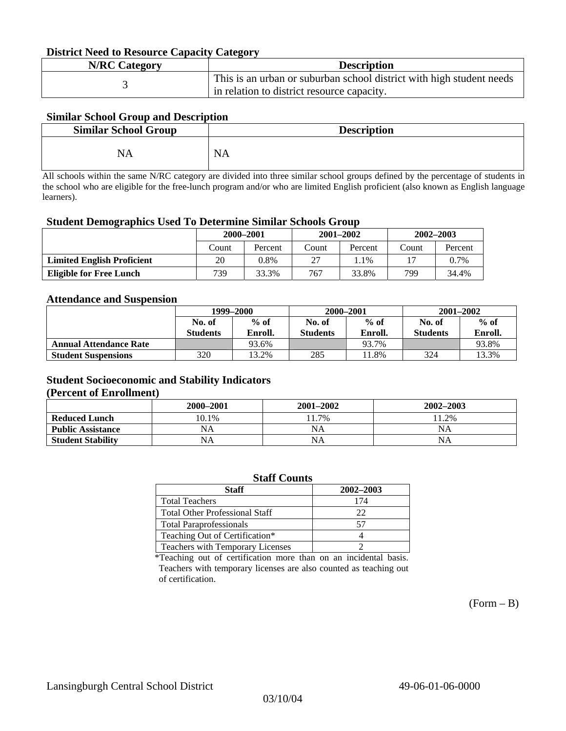#### **District Need to Resource Capacity Category**

| <b>N/RC Category</b> | <b>Description</b>                                                   |
|----------------------|----------------------------------------------------------------------|
|                      | This is an urban or suburban school district with high student needs |
|                      | in relation to district resource capacity.                           |

### **Similar School Group and Description**

| <b>Similar School Group</b> | <b>Description</b> |
|-----------------------------|--------------------|
| NA                          | <b>NA</b>          |

All schools within the same N/RC category are divided into three similar school groups defined by the percentage of students in the school who are eligible for the free-lunch program and/or who are limited English proficient (also known as English language learners).

#### **Student Demographics Used To Determine Similar Schools Group**

| 0                                 | 2000-2001 |         |       | $2001 - 2002$ | $2002 - 2003$ |         |
|-----------------------------------|-----------|---------|-------|---------------|---------------|---------|
|                                   | Count     | Percent | Count | Percent       | Count         | Percent |
| <b>Limited English Proficient</b> | 20        | 0.8%    | 27    | . . 1 %       |               | $0.7\%$ |
| Eligible for Free Lunch           | 739       | 33.3%   | 767   | 33.8%         | 799           | 34.4%   |

#### **Attendance and Suspension**

|                               | 1999–2000       |         |                 | 2000-2001 | $2001 - 2002$   |         |
|-------------------------------|-----------------|---------|-----------------|-----------|-----------------|---------|
|                               | No. of          | $%$ of  | No. of          | $%$ of    | No. of          | $%$ of  |
|                               | <b>Students</b> | Enroll. | <b>Students</b> | Enroll.   | <b>Students</b> | Enroll. |
| <b>Annual Attendance Rate</b> |                 | 93.6%   |                 | 93.7%     |                 | 93.8%   |
| <b>Student Suspensions</b>    | 320             | 3.2%    | 285             | 1.8%      | 324             | 13.3%   |

### **Student Socioeconomic and Stability Indicators**

#### **(Percent of Enrollment)**

|                          | 2000–2001 | $2001 - 2002$ | 2002-2003 |
|--------------------------|-----------|---------------|-----------|
| <b>Reduced Lunch</b>     | 10.1%     | 1.7%          | 11.2%     |
| <b>Public Assistance</b> | NA        | NA            | <b>NA</b> |
| <b>Student Stability</b> | NA        | NA            | NA        |

| <b>Staff Counts</b>                   |           |  |  |  |  |
|---------------------------------------|-----------|--|--|--|--|
| <b>Staff</b>                          | 2002-2003 |  |  |  |  |
| <b>Total Teachers</b>                 | 174       |  |  |  |  |
| <b>Total Other Professional Staff</b> | 22        |  |  |  |  |
| <b>Total Paraprofessionals</b>        | 57        |  |  |  |  |
| Teaching Out of Certification*        |           |  |  |  |  |
| Teachers with Temporary Licenses      |           |  |  |  |  |

\*Teaching out of certification more than on an incidental basis. Teachers with temporary licenses are also counted as teaching out of certification.

 $(Form - B)$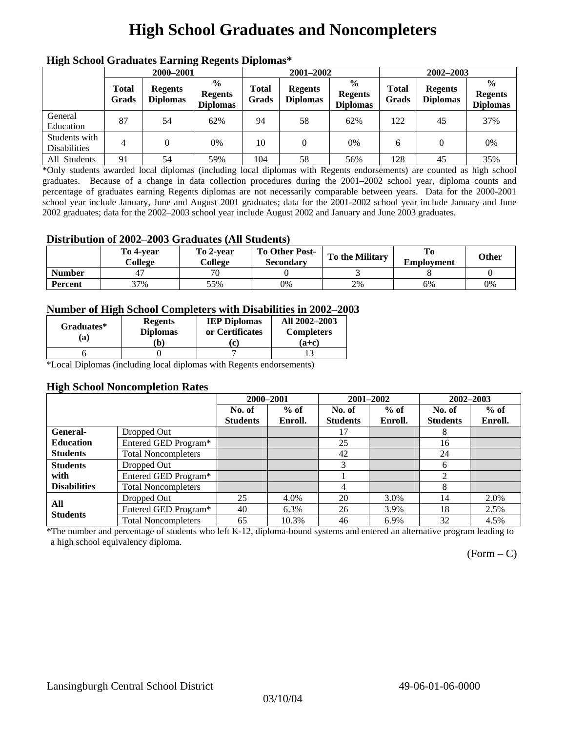# **High School Graduates and Noncompleters**

| ніді эспол этайнакі патінід кеденія вірюшая |                       |                                   |                                                    |                       |                                   |                                                    |                       |                                   |                                                    |  |
|---------------------------------------------|-----------------------|-----------------------------------|----------------------------------------------------|-----------------------|-----------------------------------|----------------------------------------------------|-----------------------|-----------------------------------|----------------------------------------------------|--|
|                                             | 2000-2001             |                                   |                                                    |                       | 2001-2002                         |                                                    |                       | 2002-2003                         |                                                    |  |
|                                             | <b>Total</b><br>Grads | <b>Regents</b><br><b>Diplomas</b> | $\frac{0}{0}$<br><b>Regents</b><br><b>Diplomas</b> | <b>Total</b><br>Grads | <b>Regents</b><br><b>Diplomas</b> | $\frac{6}{6}$<br><b>Regents</b><br><b>Diplomas</b> | <b>Total</b><br>Grads | <b>Regents</b><br><b>Diplomas</b> | $\frac{0}{0}$<br><b>Regents</b><br><b>Diplomas</b> |  |
| General<br>Education                        | 87                    | 54                                | 62%                                                | 94                    | 58                                | 62%                                                | 122                   | 45                                | 37%                                                |  |
| Students with<br><b>Disabilities</b>        | 4                     |                                   | 0%                                                 | 10                    | $\Omega$                          | 0%                                                 | 6                     |                                   | 0%                                                 |  |
| All Students                                | 91                    | 54                                | 59%                                                | 104                   | 58                                | 56%                                                | 128                   | 45                                | 35%                                                |  |

### **High School Graduates Earning Regents Diplomas\***

\*Only students awarded local diplomas (including local diplomas with Regents endorsements) are counted as high school graduates. Because of a change in data collection procedures during the 2001–2002 school year, diploma counts and percentage of graduates earning Regents diplomas are not necessarily comparable between years. Data for the 2000-2001 school year include January, June and August 2001 graduates; data for the 2001-2002 school year include January and June 2002 graduates; data for the 2002–2003 school year include August 2002 and January and June 2003 graduates.

### **Distribution of 2002–2003 Graduates (All Students)**

|               | To 4-vear<br>College | To 2-vear<br>College | <b>To Other Post-</b><br><b>Secondary</b> | <b>To the Military</b> | <b>Employment</b> | Other |
|---------------|----------------------|----------------------|-------------------------------------------|------------------------|-------------------|-------|
| <b>Number</b> |                      | 70                   |                                           |                        |                   |       |
| Percent       | 37%                  | 55%                  | 0%                                        | 2%                     | 6%                | 0%    |

### **Number of High School Completers with Disabilities in 2002–2003**

| Graduates*<br>(a) | <b>Regents</b><br><b>Diplomas</b> | <b>IEP Diplomas</b><br>or Certificates | All 2002-2003<br><b>Completers</b> |  |
|-------------------|-----------------------------------|----------------------------------------|------------------------------------|--|
|                   | b)                                | $\mathbf{c}$                           | $(a+c)$                            |  |
|                   |                                   |                                        |                                    |  |

\*Local Diplomas (including local diplomas with Regents endorsements)

#### **High School Noncompletion Rates**

|                        |                            | 2000-2001       |         |                 | 2001-2002 | 2002-2003       |         |
|------------------------|----------------------------|-----------------|---------|-----------------|-----------|-----------------|---------|
|                        |                            | No. of          | $%$ of  | No. of          | $%$ of    | No. of          | $%$ of  |
|                        |                            | <b>Students</b> | Enroll. | <b>Students</b> | Enroll.   | <b>Students</b> | Enroll. |
| <b>General-</b>        | Dropped Out                |                 |         | 17              |           | 8               |         |
| <b>Education</b>       | Entered GED Program*       |                 |         | 25              |           | 16              |         |
| <b>Students</b>        | <b>Total Noncompleters</b> |                 |         | 42              |           | 24              |         |
| <b>Students</b>        | Dropped Out                |                 |         | 3               |           | 6               |         |
| with                   | Entered GED Program*       |                 |         |                 |           | $\overline{2}$  |         |
| <b>Disabilities</b>    | <b>Total Noncompleters</b> |                 |         | 4               |           | 8               |         |
|                        | Dropped Out                | 25              | 4.0%    | 20              | 3.0%      | 14              | 2.0%    |
| All<br><b>Students</b> | Entered GED Program*       | 40              | 6.3%    | 26              | 3.9%      | 18              | 2.5%    |
|                        | <b>Total Noncompleters</b> | 65              | 10.3%   | 46              | 6.9%      | 32              | 4.5%    |

\*The number and percentage of students who left K-12, diploma-bound systems and entered an alternative program leading to a high school equivalency diploma.

 $(Form - C)$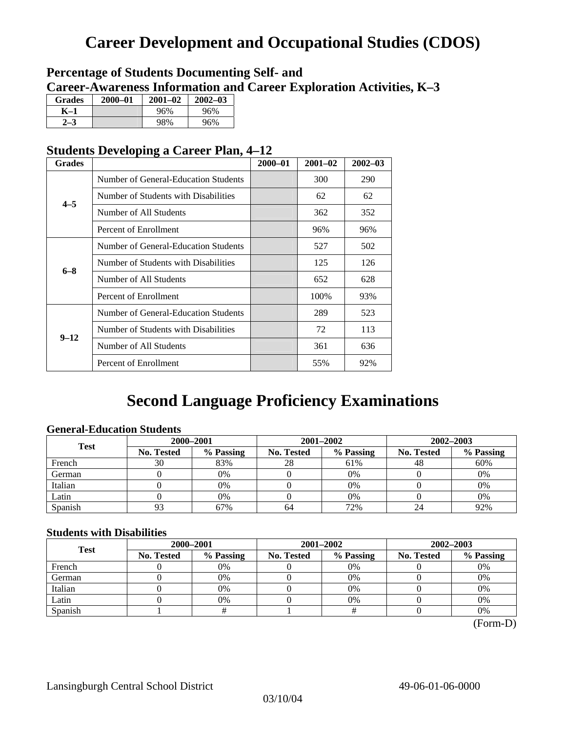# **Career Development and Occupational Studies (CDOS)**

### **Percentage of Students Documenting Self- and Career-Awareness Information and Career Exploration Activities, K–3**

| <b>Grades</b> | $2000 - 01$ | $2001 - 02$ | $2002 - 03$ |
|---------------|-------------|-------------|-------------|
| K–1           |             | 96%         | 96%         |
|               |             | 98%         | 96%         |

### **Students Developing a Career Plan, 4–12**

| <b>Grades</b> |                                                                                                                                                          | $2000 - 01$ | $2001 - 02$ | $2002 - 03$ |
|---------------|----------------------------------------------------------------------------------------------------------------------------------------------------------|-------------|-------------|-------------|
|               | Number of General-Education Students                                                                                                                     |             | 300         | 290         |
| $4 - 5$       | Number of Students with Disabilities                                                                                                                     |             | 62          | 62          |
|               | Number of All Students                                                                                                                                   |             | 362         | 352         |
|               | Percent of Enrollment                                                                                                                                    |             | 96%         | 96%         |
|               | Number of General-Education Students                                                                                                                     |             | 527         | 502         |
|               | Number of Students with Disabilities                                                                                                                     |             | 125         | 126         |
| $6 - 8$       | Number of All Students                                                                                                                                   |             | 652         | 628         |
|               | Percent of Enrollment<br>Number of General-Education Students<br>Number of Students with Disabilities<br>Number of All Students<br>Percent of Enrollment |             | 100%        | 93%         |
|               |                                                                                                                                                          |             | 289         | 523         |
| $9 - 12$      |                                                                                                                                                          |             | 72          | 113         |
|               |                                                                                                                                                          |             | 361         | 636         |
|               |                                                                                                                                                          |             | 55%         | 92%         |

## **Second Language Proficiency Examinations**

### **General-Education Students**

| <b>Test</b> | 2000-2001         |           |                   | 2001-2002 | 2002-2003         |           |  |
|-------------|-------------------|-----------|-------------------|-----------|-------------------|-----------|--|
|             | <b>No. Tested</b> | % Passing | <b>No. Tested</b> | % Passing | <b>No. Tested</b> | % Passing |  |
| French      | 30                | 83%       | 28                | 61%       | 48                | 60%       |  |
| German      |                   | 0%        |                   | $0\%$     |                   | 0%        |  |
| Italian     |                   | 0%        |                   | 0%        |                   | 0%        |  |
| Latin       |                   | 0%        |                   | $0\%$     |                   | 0%        |  |
| Spanish     |                   | 67%       | 64                | 72%       | 24                | 92%       |  |

### **Students with Disabilities**

| <b>Test</b> | 2000-2001                      |    |            | 2001-2002 | 2002-2003         |           |  |
|-------------|--------------------------------|----|------------|-----------|-------------------|-----------|--|
|             | % Passing<br><b>No. Tested</b> |    | No. Tested | % Passing | <b>No. Tested</b> | % Passing |  |
| French      |                                | 0% |            | 0%        |                   | 0%        |  |
| German      |                                | 0% |            | 0%        |                   | 0%        |  |
| Italian     |                                | 0% |            | 0%        |                   | 0%        |  |
| Latin       |                                | 0% |            | $0\%$     |                   | 0%        |  |
| Spanish     |                                |    |            |           |                   | 0%        |  |

 <sup>(</sup>Form-D)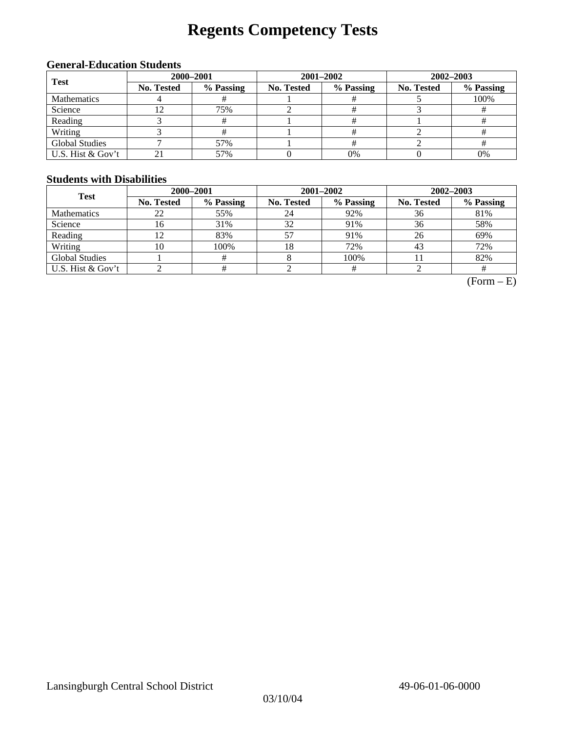# **Regents Competency Tests**

### **General-Education Students**

| <b>Test</b>           | 2000-2001  |           |            | 2001-2002 | 2002-2003  |           |  |
|-----------------------|------------|-----------|------------|-----------|------------|-----------|--|
|                       | No. Tested | % Passing | No. Tested | % Passing | No. Tested | % Passing |  |
| <b>Mathematics</b>    |            |           |            |           |            | 100%      |  |
| Science               |            | 75%       |            |           |            |           |  |
| Reading               |            |           |            |           |            |           |  |
| Writing               |            |           |            |           |            |           |  |
| <b>Global Studies</b> |            | 57%       |            |           |            |           |  |
| U.S. Hist & Gov't     |            | 57%       |            | 0%        |            | 0%        |  |

### **Students with Disabilities**

| <b>Test</b>           | 2000-2001         |           |            | 2001-2002 | 2002-2003                                 |           |  |
|-----------------------|-------------------|-----------|------------|-----------|-------------------------------------------|-----------|--|
|                       | <b>No. Tested</b> | % Passing | No. Tested | % Passing | <b>No. Tested</b><br>36<br>36<br>26<br>43 | % Passing |  |
| <b>Mathematics</b>    | 22                | 55%       | 24         | 92%       |                                           | 81%       |  |
| Science               | 16                | 31%       | 32         | 91%       |                                           | 58%       |  |
| Reading               | 12                | 83%       | 57         | 91%       |                                           | 69%       |  |
| Writing               | 10                | 100%      | 18         | 72%       |                                           | 72%       |  |
| <b>Global Studies</b> |                   | #         |            | 100%      |                                           | 82%       |  |
| U.S. Hist & Gov't     |                   | #         |            |           |                                           |           |  |

 $(Form - E)$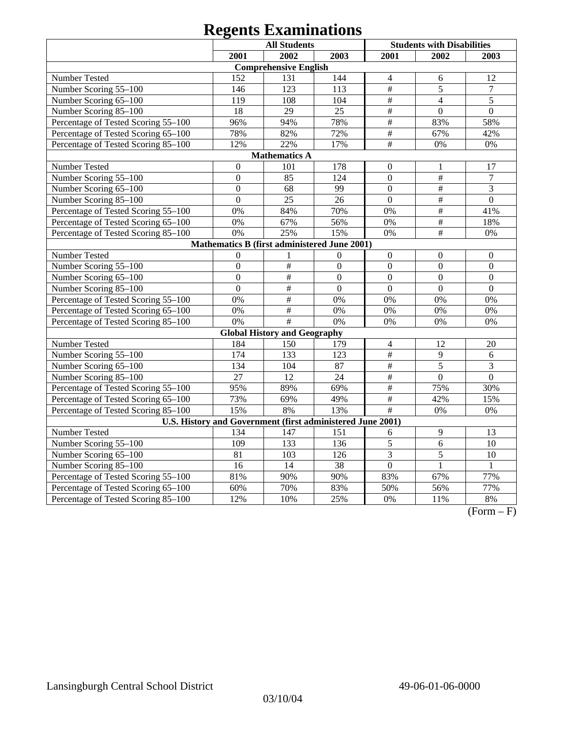|                                                            | <b>All Students</b>  |                                     | <b>Students with Disabilities</b> |                           |                           |                  |  |  |
|------------------------------------------------------------|----------------------|-------------------------------------|-----------------------------------|---------------------------|---------------------------|------------------|--|--|
|                                                            | 2001                 | 2002                                | 2003                              | 2001                      | 2002                      | 2003             |  |  |
|                                                            |                      | <b>Comprehensive English</b>        |                                   |                           |                           |                  |  |  |
| Number Tested                                              | 152                  | 131                                 | 144                               | $\overline{4}$            | 6                         | 12               |  |  |
| Number Scoring 55-100                                      | 146                  | 123                                 | 113                               | $\#$                      | 5                         | $\boldsymbol{7}$ |  |  |
| Number Scoring 65-100                                      | 119                  | 108                                 | 104                               | $\overline{\#}$           | $\overline{4}$            | 5                |  |  |
| Number Scoring 85-100                                      | 18                   | 29                                  | 25                                | $\overline{\#}$           | $\overline{0}$            | $\overline{0}$   |  |  |
| Percentage of Tested Scoring 55-100                        | 96%                  | 94%                                 | 78%                               | $\overline{\#}$           | 83%                       | 58%              |  |  |
| Percentage of Tested Scoring 65-100                        | 78%                  | 82%                                 | 72%                               | $\#$                      | 67%                       | 42%              |  |  |
| Percentage of Tested Scoring 85-100                        | 12%                  | 22%                                 | 17%                               | $\overline{\overline{H}}$ | 0%                        | 0%               |  |  |
|                                                            | <b>Mathematics A</b> |                                     |                                   |                           |                           |                  |  |  |
| Number Tested                                              | $\boldsymbol{0}$     | 101                                 | 178                               | $\boldsymbol{0}$          | 1                         | 17               |  |  |
| Number Scoring 55-100                                      | $\overline{0}$       | 85                                  | 124                               | $\mathbf{0}$              | $\overline{\overline{H}}$ | $\overline{7}$   |  |  |
| Number Scoring 65-100                                      | $\overline{0}$       | 68                                  | 99                                | $\boldsymbol{0}$          | $\#$                      | 3                |  |  |
| Number Scoring 85-100                                      | $\overline{0}$       | 25                                  | 26                                | $\boldsymbol{0}$          | $\overline{\overline{H}}$ | $\boldsymbol{0}$ |  |  |
| Percentage of Tested Scoring 55-100                        | 0%                   | 84%                                 | 70%                               | 0%                        | $\#$                      | 41%              |  |  |
| Percentage of Tested Scoring 65-100                        | 0%                   | 67%                                 | 56%                               | 0%                        | $\overline{\#}$           | 18%              |  |  |
| Percentage of Tested Scoring 85-100                        | 0%                   | 25%                                 | 15%                               | 0%                        | $\#$                      | 0%               |  |  |
| Mathematics B (first administered June 2001)               |                      |                                     |                                   |                           |                           |                  |  |  |
| Number Tested                                              | $\overline{0}$       | 1                                   | $\boldsymbol{0}$                  | $\boldsymbol{0}$          | $\boldsymbol{0}$          | $\boldsymbol{0}$ |  |  |
| Number Scoring 55-100                                      | $\overline{0}$       | $\overline{\#}$                     | $\overline{0}$                    | $\mathbf{0}$              | $\overline{0}$            | $\overline{0}$   |  |  |
| Number Scoring 65-100                                      | $\overline{0}$       | $\#$                                | $\overline{0}$                    | $\overline{0}$            | $\overline{0}$            | $\overline{0}$   |  |  |
| Number Scoring 85-100                                      | $\overline{0}$       | $\overline{\#}$                     | $\overline{0}$                    | $\overline{0}$            | $\overline{0}$            | $\overline{0}$   |  |  |
| Percentage of Tested Scoring 55-100                        | 0%                   | $\overline{\#}$                     | 0%                                | 0%                        | 0%                        | 0%               |  |  |
| Percentage of Tested Scoring 65-100                        | 0%                   | $\#$                                | 0%                                | 0%                        | 0%                        | 0%               |  |  |
| Percentage of Tested Scoring 85-100                        | 0%                   | #                                   | 0%                                | 0%                        | 0%                        | 0%               |  |  |
|                                                            |                      | <b>Global History and Geography</b> |                                   |                           |                           |                  |  |  |
| Number Tested                                              | 184                  | 150                                 | 179                               | $\overline{4}$            | 12                        | 20               |  |  |
| Number Scoring 55-100                                      | 174                  | 133                                 | 123                               | $\overline{\#}$           | 9                         | 6                |  |  |
| Number Scoring 65-100                                      | 134                  | 104                                 | 87                                | $\overline{\#}$           | $\overline{5}$            | $\overline{3}$   |  |  |
| Number Scoring 85-100                                      | 27                   | 12                                  | 24                                | $\overline{\#}$           | $\mathbf{0}$              | $\mathbf{0}$     |  |  |
| Percentage of Tested Scoring 55-100                        | 95%                  | 89%                                 | 69%                               | $\overline{\#}$           | 75%                       | 30%              |  |  |
| Percentage of Tested Scoring 65-100                        | 73%                  | 69%                                 | 49%                               | $\overline{\#}$           | 42%                       | 15%              |  |  |
| Percentage of Tested Scoring 85-100                        | 15%                  | 8%                                  | 13%                               | $\overline{\#}$           | 0%                        | $0\%$            |  |  |
| U.S. History and Government (first administered June 2001) |                      |                                     |                                   |                           |                           |                  |  |  |
| Number Tested                                              | 134                  | 147                                 | 151                               | 6                         | 9                         | 13               |  |  |
| Number Scoring 55-100                                      | 109                  | 133                                 | 136                               | $\overline{5}$            | 6                         | $\overline{10}$  |  |  |
| Number Scoring 65-100                                      | 81                   | 103                                 | 126                               | 3                         | 5                         | 10               |  |  |
| Number Scoring 85-100                                      | 16                   | 14                                  | $\overline{38}$                   | $\overline{0}$            | $\mathbf{1}$              | 1                |  |  |
| Percentage of Tested Scoring 55-100                        | 81%                  | 90%                                 | 90%                               | 83%                       | 67%                       | 77%              |  |  |
| Percentage of Tested Scoring 65-100                        | 60%                  | 70%                                 | 83%                               | 50%                       | 56%                       | 77%              |  |  |
| Percentage of Tested Scoring 85-100                        | 12%                  | 10%                                 | 25%                               | 0%                        | 11%                       | $8\%$            |  |  |

 $(Form - F)$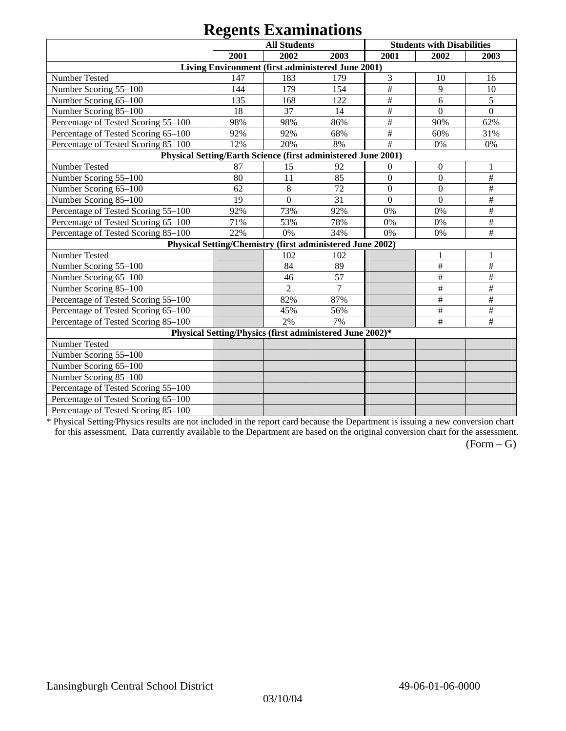|                                                               |      | <b>All Students</b>                                       |                |                | <b>Students with Disabilities</b> |              |
|---------------------------------------------------------------|------|-----------------------------------------------------------|----------------|----------------|-----------------------------------|--------------|
|                                                               | 2001 | 2002                                                      | 2003           | 2001           | 2002                              | 2003         |
|                                                               |      | Living Environment (first administered June 2001)         |                |                |                                   |              |
| Number Tested                                                 | 147  | 183                                                       | 179            | 3              | 10                                | 16           |
| Number Scoring 55-100                                         | 144  | 179                                                       | 154            | #              | 9                                 | 10           |
| Number Scoring 65-100                                         | 135  | 168                                                       | 122            | $\#$           | 6                                 | 5            |
| Number Scoring 85-100                                         | 18   | 37                                                        | 14             | $\#$           | $\Omega$                          | $\mathbf{0}$ |
| Percentage of Tested Scoring 55-100                           | 98%  | 98%                                                       | 86%            | $\#$           | 90%                               | 62%          |
| Percentage of Tested Scoring 65-100                           | 92%  | 92%                                                       | 68%            | $\#$           | 60%                               | 31%          |
| Percentage of Tested Scoring 85-100                           | 12%  | 20%                                                       | 8%             | #              | 0%                                | 0%           |
| Physical Setting/Earth Science (first administered June 2001) |      |                                                           |                |                |                                   |              |
| Number Tested                                                 | 87   | 15                                                        | 92             | $\mathbf{0}$   | $\boldsymbol{0}$                  | 1            |
| Number Scoring 55-100                                         | 80   | 11                                                        | 85             | $\overline{0}$ | $\Omega$                          | $\#$         |
| Number Scoring 65-100                                         | 62   | 8                                                         | 72             | $\overline{0}$ | $\Omega$                          | $\#$         |
| Number Scoring 85-100                                         | 19   | $\boldsymbol{0}$                                          | 31             | $\theta$       | $\mathbf{0}$                      | $\#$         |
| Percentage of Tested Scoring 55-100                           | 92%  | 73%                                                       | 92%            | 0%             | 0%                                | $\#$         |
| Percentage of Tested Scoring 65-100                           | 71%  | 53%                                                       | 78%            | 0%             | 0%                                | $\#$         |
| Percentage of Tested Scoring 85-100                           | 22%  | 0%                                                        | 34%            | 0%             | 0%                                | $\#$         |
|                                                               |      | Physical Setting/Chemistry (first administered June 2002) |                |                |                                   |              |
| Number Tested                                                 |      | 102                                                       | 102            |                |                                   |              |
| Number Scoring 55-100                                         |      | 84                                                        | 89             |                | $\#$                              | $\#$         |
| Number Scoring 65-100                                         |      | 46                                                        | 57             |                | #                                 | $\#$         |
| Number Scoring 85-100                                         |      | $\overline{2}$                                            | $\overline{7}$ |                | $\#$                              | $\#$         |
| Percentage of Tested Scoring 55-100                           |      | 82%                                                       | 87%            |                | $\#$                              | $\#$         |
| Percentage of Tested Scoring 65-100                           |      | 45%                                                       | 56%            |                | $\#$                              | $\#$         |
| Percentage of Tested Scoring 85-100                           |      | 2%                                                        | 7%             |                | $\#$                              | $\#$         |
|                                                               |      | Physical Setting/Physics (first administered June 2002)*  |                |                |                                   |              |
| Number Tested                                                 |      |                                                           |                |                |                                   |              |
| Number Scoring 55-100                                         |      |                                                           |                |                |                                   |              |
| Number Scoring 65-100                                         |      |                                                           |                |                |                                   |              |
| Number Scoring 85-100                                         |      |                                                           |                |                |                                   |              |
| Percentage of Tested Scoring 55-100                           |      |                                                           |                |                |                                   |              |
| Percentage of Tested Scoring 65-100                           |      |                                                           |                |                |                                   |              |
| Percentage of Tested Scoring 85-100                           |      |                                                           |                |                |                                   |              |

\* Physical Setting/Physics results are not included in the report card because the Department is issuing a new conversion chart for this assessment. Data currently available to the Department are based on the original conversion chart for the assessment.

 $(Form - G)$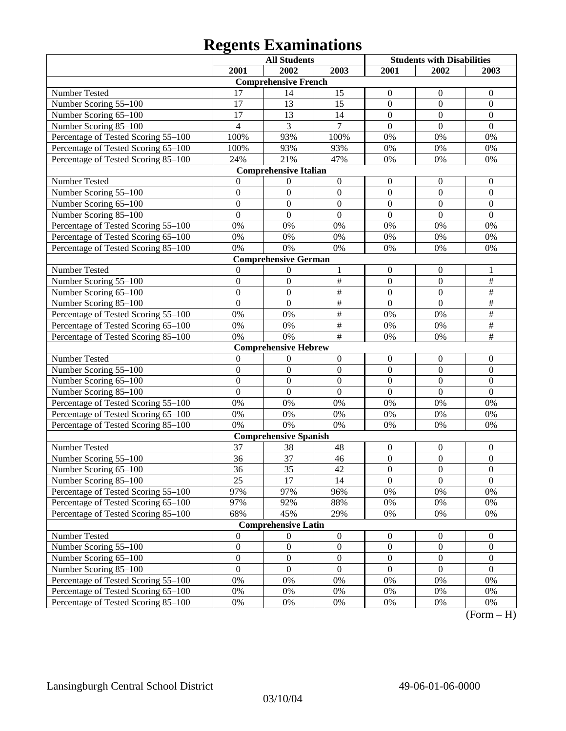|                                     |                         | <b>All Students</b>          |                  | <b>Students with Disabilities</b> |                  |                  |
|-------------------------------------|-------------------------|------------------------------|------------------|-----------------------------------|------------------|------------------|
|                                     | 2001                    | 2002                         | 2003             | 2001                              | 2002             | 2003             |
|                                     |                         | <b>Comprehensive French</b>  |                  |                                   |                  |                  |
| Number Tested                       | 17                      | 14                           | 15               | 0                                 | $\theta$         | $\mathbf{0}$     |
| Number Scoring 55-100               | 17                      | 13                           | 15               | $\mathbf{0}$                      | $\boldsymbol{0}$ | $\boldsymbol{0}$ |
| Number Scoring 65-100               | 17                      | 13                           | 14               | $\overline{0}$                    | $\overline{0}$   | $\boldsymbol{0}$ |
| Number Scoring 85-100               | $\overline{\mathbf{4}}$ | 3                            | $\overline{7}$   | $\overline{0}$                    | $\overline{0}$   | $\overline{0}$   |
| Percentage of Tested Scoring 55-100 | 100%                    | 93%                          | 100%             | 0%                                | 0%               | 0%               |
| Percentage of Tested Scoring 65-100 | 100%                    | 93%                          | 93%              | 0%                                | 0%               | $0\%$            |
| Percentage of Tested Scoring 85-100 | 24%                     | 21%                          | 47%              | 0%                                | 0%               | 0%               |
|                                     |                         | <b>Comprehensive Italian</b> |                  |                                   |                  |                  |
| Number Tested                       | 0                       | 0                            | $\boldsymbol{0}$ | $\boldsymbol{0}$                  | $\theta$         | $\theta$         |
| Number Scoring 55-100               | $\boldsymbol{0}$        | $\boldsymbol{0}$             | $\boldsymbol{0}$ | $\mathbf{0}$                      | $\overline{0}$   | $\mathbf{0}$     |
| Number Scoring 65-100               | $\mathbf{0}$            | $\boldsymbol{0}$             | $\boldsymbol{0}$ | $\overline{0}$                    | $\overline{0}$   | $\boldsymbol{0}$ |
| Number Scoring 85-100               | $\mathbf{0}$            | $\mathbf{0}$                 | $\boldsymbol{0}$ | $\overline{0}$                    | $\overline{0}$   | $\Omega$         |
| Percentage of Tested Scoring 55-100 | 0%                      | 0%                           | 0%               | 0%                                | 0%               | 0%               |
| Percentage of Tested Scoring 65-100 | 0%                      | 0%                           | 0%               | 0%                                | 0%               | 0%               |
| Percentage of Tested Scoring 85-100 | 0%                      | 0%                           | 0%               | 0%                                | 0%               | 0%               |
|                                     |                         | <b>Comprehensive German</b>  |                  |                                   |                  |                  |
| Number Tested                       | $\overline{0}$          | 0                            | 1                | $\boldsymbol{0}$                  | $\mathbf{0}$     | 1                |
| Number Scoring 55-100               | $\boldsymbol{0}$        | $\boldsymbol{0}$             | $\#$             | $\mathbf{0}$                      | $\boldsymbol{0}$ | $\#$             |
| Number Scoring 65-100               | $\overline{0}$          | $\boldsymbol{0}$             | $\frac{1}{2}$    | $\overline{0}$                    | $\theta$         | $\frac{1}{2}$    |
| Number Scoring 85-100               | $\overline{0}$          | $\mathbf{0}$                 | $\overline{\#}$  | $\overline{0}$                    | $\overline{0}$   | $\overline{\#}$  |
| Percentage of Tested Scoring 55-100 | 0%                      | 0%                           | $\overline{\#}$  | 0%                                | 0%               | $\overline{\#}$  |
| Percentage of Tested Scoring 65-100 | 0%                      | 0%                           | $\frac{1}{2}$    | 0%                                | 0%               | $\overline{\#}$  |
| Percentage of Tested Scoring 85-100 | 0%                      | 0%                           | $\#$             | 0%                                | 0%               | $\overline{\#}$  |
|                                     |                         | <b>Comprehensive Hebrew</b>  |                  |                                   |                  |                  |
| Number Tested                       | $\theta$                | 0                            | $\boldsymbol{0}$ | $\boldsymbol{0}$                  | $\overline{0}$   | $\boldsymbol{0}$ |
| Number Scoring 55-100               | $\boldsymbol{0}$        | $\boldsymbol{0}$             | $\boldsymbol{0}$ | $\mathbf{0}$                      | $\overline{0}$   | $\mathbf{0}$     |
| Number Scoring 65-100               | $\mathbf{0}$            | $\boldsymbol{0}$             | $\boldsymbol{0}$ | $\overline{0}$                    | $\overline{0}$   | $\boldsymbol{0}$ |
| Number Scoring 85-100               | $\mathbf{0}$            | $\mathbf{0}$                 | $\boldsymbol{0}$ | $\overline{0}$                    | $\overline{0}$   | $\Omega$         |
| Percentage of Tested Scoring 55-100 | 0%                      | 0%                           | 0%               | 0%                                | 0%               | 0%               |
| Percentage of Tested Scoring 65-100 | 0%                      | 0%                           | 0%               | 0%                                | 0%               | 0%               |
| Percentage of Tested Scoring 85-100 | 0%                      | 0%                           | 0%               | 0%                                | 0%               | 0%               |
|                                     |                         | <b>Comprehensive Spanish</b> |                  |                                   |                  |                  |
| Number Tested                       | 37                      | 38                           | 48               | $\boldsymbol{0}$                  | $\boldsymbol{0}$ | $\boldsymbol{0}$ |
| Number Scoring 55-100               | 36                      | 37                           | 46               | $\boldsymbol{0}$                  | $\overline{0}$   | $\boldsymbol{0}$ |
| Number Scoring 65–100               | 36                      | 35                           | 42               | $\boldsymbol{0}$                  | $\theta$         | $\boldsymbol{0}$ |
| Number Scoring 85-100               | 25                      | 17                           | 14               | $\overline{0}$                    | $\overline{0}$   | $\overline{0}$   |
| Percentage of Tested Scoring 55-100 | 97%                     | 97%                          | 96%              | 0%                                | $0\%$            | 0%               |
| Percentage of Tested Scoring 65-100 | 97%                     | 92%                          | 88%              | 0%                                | 0%               | 0%               |
| Percentage of Tested Scoring 85-100 | 68%                     | 45%                          | 29%              | 0%                                | 0%               | 0%               |
|                                     |                         | <b>Comprehensive Latin</b>   |                  |                                   |                  |                  |
| Number Tested                       | $\boldsymbol{0}$        | $\theta$                     | $\boldsymbol{0}$ | $\boldsymbol{0}$                  | $\boldsymbol{0}$ | $\boldsymbol{0}$ |
| Number Scoring 55-100               | $\boldsymbol{0}$        | $\boldsymbol{0}$             | $\boldsymbol{0}$ | $\boldsymbol{0}$                  | $\boldsymbol{0}$ | $\boldsymbol{0}$ |
| Number Scoring 65-100               | $\boldsymbol{0}$        | $\boldsymbol{0}$             | $\boldsymbol{0}$ | $\boldsymbol{0}$                  | $\boldsymbol{0}$ | $\boldsymbol{0}$ |
| Number Scoring 85-100               | $\mathbf{0}$            | $\boldsymbol{0}$             | $\overline{0}$   | $\mathbf{0}$                      | $\Omega$         | $\overline{0}$   |
| Percentage of Tested Scoring 55-100 | $0\%$                   | 0%                           | 0%               | 0%                                | $0\%$            | 0%               |
| Percentage of Tested Scoring 65-100 | $0\%$                   | 0%                           | 0%               | 0%                                | 0%               | 0%               |
| Percentage of Tested Scoring 85-100 | 0%                      | 0%                           | 0%               | 0%                                | 0%               | 0%<br>$\sqrt{ }$ |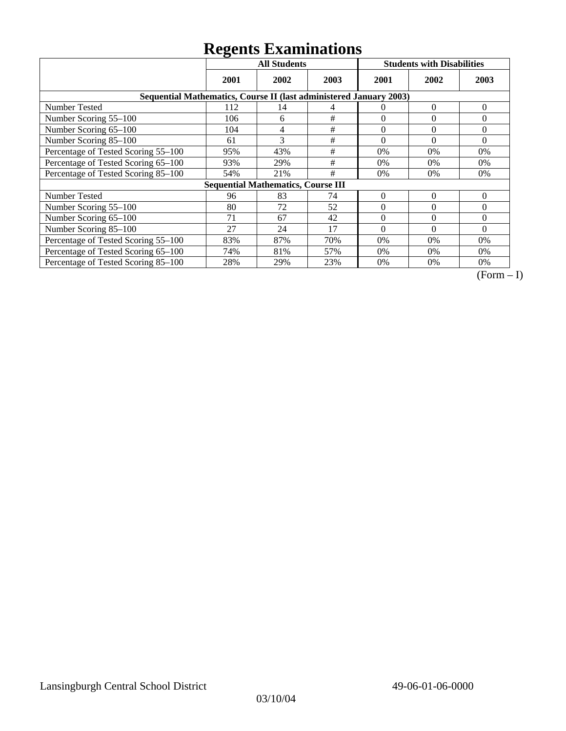|                                                                    | ັ<br><b>All Students</b> |                                           |      | <b>Students with Disabilities</b> |          |          |
|--------------------------------------------------------------------|--------------------------|-------------------------------------------|------|-----------------------------------|----------|----------|
|                                                                    | 2001                     | 2002                                      | 2003 | 2001                              | 2002     | 2003     |
| Sequential Mathematics, Course II (last administered January 2003) |                          |                                           |      |                                   |          |          |
| Number Tested                                                      | 112                      | 14                                        | 4    | $\theta$                          | $\theta$ | $\theta$ |
| Number Scoring 55-100                                              | 106                      | 6                                         | #    | $\Omega$                          | $\theta$ | 0        |
| Number Scoring 65-100                                              | 104                      | 4                                         | #    | $\theta$                          | $\theta$ | $\theta$ |
| Number Scoring 85-100                                              | 61                       | 3                                         | $\#$ | $\theta$                          | $\theta$ | $\theta$ |
| Percentage of Tested Scoring 55-100                                | 95%                      | 43%                                       | #    | 0%                                | 0%       | $0\%$    |
| Percentage of Tested Scoring 65-100                                | 93%                      | 29%                                       | #    | 0%                                | 0%       | $0\%$    |
| Percentage of Tested Scoring 85-100                                | 54%                      | 21%                                       | #    | 0%                                | 0%       | $0\%$    |
|                                                                    |                          | <b>Sequential Mathematics, Course III</b> |      |                                   |          |          |
| Number Tested                                                      | 96                       | 83                                        | 74   | $\theta$                          | $\theta$ | $\theta$ |
| Number Scoring 55-100                                              | 80                       | 72                                        | 52   | $\theta$                          | $\theta$ | $\theta$ |
| Number Scoring 65-100                                              | 71                       | 67                                        | 42   | $\Omega$                          | $\theta$ | $\theta$ |
| Number Scoring 85-100                                              | 27                       | 24                                        | 17   | $\Omega$                          | $\Omega$ | $\Omega$ |
| Percentage of Tested Scoring 55-100                                | 83%                      | 87%                                       | 70%  | 0%                                | 0%       | $0\%$    |
| Percentage of Tested Scoring 65-100                                | 74%                      | 81%                                       | 57%  | $0\%$                             | 0%       | $0\%$    |
| Percentage of Tested Scoring 85-100                                | 28%                      | 29%                                       | 23%  | 0%                                | 0%       | $0\%$    |

 $\overline{(Form-I)}$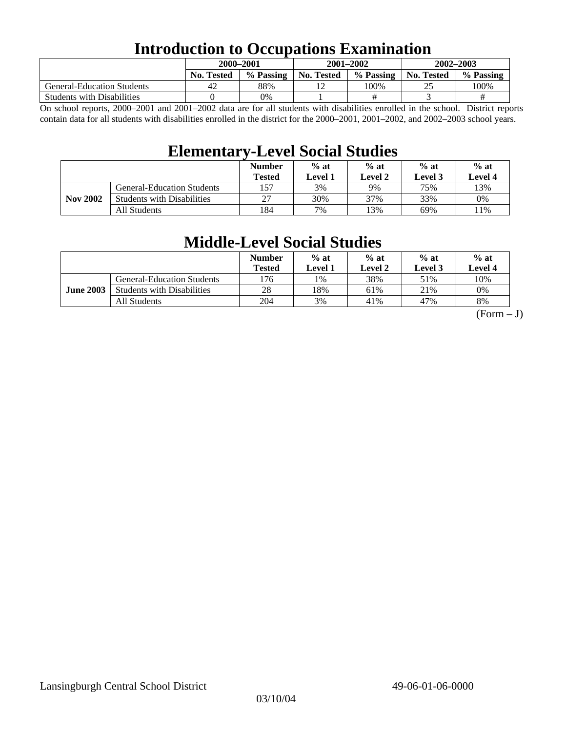### **Introduction to Occupations Examination**

|                                   | 2000-2001         |           | $2001 - 2002$     |           | $2002 - 2003$ |           |  |
|-----------------------------------|-------------------|-----------|-------------------|-----------|---------------|-----------|--|
|                                   | <b>No. Tested</b> | % Passing | <b>No. Tested</b> | % Passing | No. Tested    | % Passing |  |
| <b>General-Education Students</b> | 42                | 88%       |                   | 100%      |               | 100%      |  |
| <b>Students with Disabilities</b> |                   | 0%        |                   |           |               | #         |  |

On school reports, 2000–2001 and 2001–2002 data are for all students with disabilities enrolled in the school. District reports contain data for all students with disabilities enrolled in the district for the 2000–2001, 2001–2002, and 2002–2003 school years.

### **Elementary-Level Social Studies**

|                 |                                   | <b>Number</b><br><b>Tested</b> | $%$ at<br>Level 1 | $%$ at<br>Level 2 | $%$ at<br>$%$ at<br>Level 4<br>Level 3 |      |
|-----------------|-----------------------------------|--------------------------------|-------------------|-------------------|----------------------------------------|------|
| <b>Nov 2002</b> | <b>General-Education Students</b> | 157                            | 3%                | 9%                | 75%                                    | 13%  |
|                 | <b>Students with Disabilities</b> | 27                             | 30%               | 37%               | 33%                                    | 0%   |
|                 | All Students                      | 184                            | 7%                | 13%               | 69%                                    | l 1% |

### **Middle-Level Social Studies**

|                  |                                   | <b>Number</b><br>Tested | $%$ at<br>Level 1 | $%$ at<br>Level 2 | $%$ at<br>Level 3 | $%$ at<br>Level 4 |
|------------------|-----------------------------------|-------------------------|-------------------|-------------------|-------------------|-------------------|
| <b>June 2003</b> | <b>General-Education Students</b> | l76                     | 1%                | 38%               | 51%               | 10%               |
|                  | <b>Students with Disabilities</b> | 28                      | 18%               | 61%               | 21%               | 0%                |
|                  | All Students                      | 204                     | 3%                | 41%               | 47%               | 8%                |

 $(Form - J)$